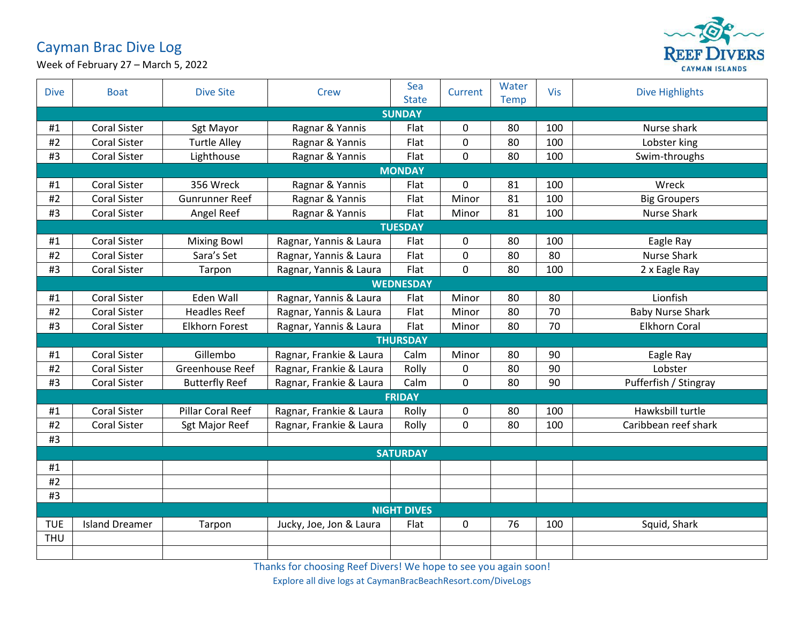## Cayman Brac Dive Log



Week of February 27 – March 5, 2022

| <b>Dive</b>        | <b>Boat</b>           | <b>Dive Site</b>      | <b>Crew</b>             | Sea<br><b>State</b> | Current      | Water<br><b>Temp</b> | Vis | <b>Dive Highlights</b>  |  |  |  |
|--------------------|-----------------------|-----------------------|-------------------------|---------------------|--------------|----------------------|-----|-------------------------|--|--|--|
| <b>SUNDAY</b>      |                       |                       |                         |                     |              |                      |     |                         |  |  |  |
| #1                 | <b>Coral Sister</b>   | Sgt Mayor             | Ragnar & Yannis         | Flat                | 0            | 80                   | 100 | Nurse shark             |  |  |  |
| #2                 | <b>Coral Sister</b>   | <b>Turtle Alley</b>   | Ragnar & Yannis         | Flat                | $\mathbf 0$  | 80                   | 100 | Lobster king            |  |  |  |
| #3                 | <b>Coral Sister</b>   | Lighthouse            | Ragnar & Yannis         | Flat                | $\mathbf 0$  | 80                   | 100 | Swim-throughs           |  |  |  |
| <b>MONDAY</b>      |                       |                       |                         |                     |              |                      |     |                         |  |  |  |
| #1                 | <b>Coral Sister</b>   | 356 Wreck             | Ragnar & Yannis         | Flat                | 0            | 81                   | 100 | Wreck                   |  |  |  |
| #2                 | <b>Coral Sister</b>   | <b>Gunrunner Reef</b> | Ragnar & Yannis         | Flat                | Minor        | 81                   | 100 | <b>Big Groupers</b>     |  |  |  |
| #3                 | <b>Coral Sister</b>   | Angel Reef            | Ragnar & Yannis         | Flat                | Minor        | 81                   | 100 | <b>Nurse Shark</b>      |  |  |  |
|                    | <b>TUESDAY</b>        |                       |                         |                     |              |                      |     |                         |  |  |  |
| #1                 | <b>Coral Sister</b>   | <b>Mixing Bowl</b>    | Ragnar, Yannis & Laura  | Flat                | 0            | 80                   | 100 | Eagle Ray               |  |  |  |
| #2                 | <b>Coral Sister</b>   | Sara's Set            | Ragnar, Yannis & Laura  | Flat                | 0            | 80                   | 80  | <b>Nurse Shark</b>      |  |  |  |
| #3                 | <b>Coral Sister</b>   | Tarpon                | Ragnar, Yannis & Laura  | Flat                | $\mathsf{O}$ | 80                   | 100 | 2 x Eagle Ray           |  |  |  |
|                    | <b>WEDNESDAY</b>      |                       |                         |                     |              |                      |     |                         |  |  |  |
| #1                 | <b>Coral Sister</b>   | Eden Wall             | Ragnar, Yannis & Laura  | Flat                | Minor        | 80                   | 80  | Lionfish                |  |  |  |
| #2                 | <b>Coral Sister</b>   | <b>Headles Reef</b>   | Ragnar, Yannis & Laura  | Flat                | Minor        | 80                   | 70  | <b>Baby Nurse Shark</b> |  |  |  |
| #3                 | <b>Coral Sister</b>   | <b>Elkhorn Forest</b> | Ragnar, Yannis & Laura  | Flat                | Minor        | 80                   | 70  | <b>Elkhorn Coral</b>    |  |  |  |
|                    |                       |                       |                         | <b>THURSDAY</b>     |              |                      |     |                         |  |  |  |
| #1                 | <b>Coral Sister</b>   | Gillembo              | Ragnar, Frankie & Laura | Calm                | Minor        | 80                   | 90  | Eagle Ray               |  |  |  |
| #2                 | <b>Coral Sister</b>   | Greenhouse Reef       | Ragnar, Frankie & Laura | Rolly               | 0            | 80                   | 90  | Lobster                 |  |  |  |
| #3                 | <b>Coral Sister</b>   | <b>Butterfly Reef</b> | Ragnar, Frankie & Laura | Calm                | 0            | 80                   | 90  | Pufferfish / Stingray   |  |  |  |
|                    | <b>FRIDAY</b>         |                       |                         |                     |              |                      |     |                         |  |  |  |
| #1                 | <b>Coral Sister</b>   | Pillar Coral Reef     | Ragnar, Frankie & Laura | Rolly               | 0            | 80                   | 100 | Hawksbill turtle        |  |  |  |
| #2                 | <b>Coral Sister</b>   | Sgt Major Reef        | Ragnar, Frankie & Laura | Rolly               | 0            | 80                   | 100 | Caribbean reef shark    |  |  |  |
| #3                 |                       |                       |                         |                     |              |                      |     |                         |  |  |  |
| <b>SATURDAY</b>    |                       |                       |                         |                     |              |                      |     |                         |  |  |  |
| #1                 |                       |                       |                         |                     |              |                      |     |                         |  |  |  |
| #2                 |                       |                       |                         |                     |              |                      |     |                         |  |  |  |
| #3                 |                       |                       |                         |                     |              |                      |     |                         |  |  |  |
| <b>NIGHT DIVES</b> |                       |                       |                         |                     |              |                      |     |                         |  |  |  |
| <b>TUE</b>         | <b>Island Dreamer</b> | Tarpon                | Jucky, Joe, Jon & Laura | Flat                | 0            | 76                   | 100 | Squid, Shark            |  |  |  |
| <b>THU</b>         |                       |                       |                         |                     |              |                      |     |                         |  |  |  |
|                    |                       |                       |                         |                     |              |                      |     |                         |  |  |  |

Thanks for choosing Reef Divers! We hope to see you again soon!

Explore all dive logs at CaymanBracBeachResort.com/DiveLogs